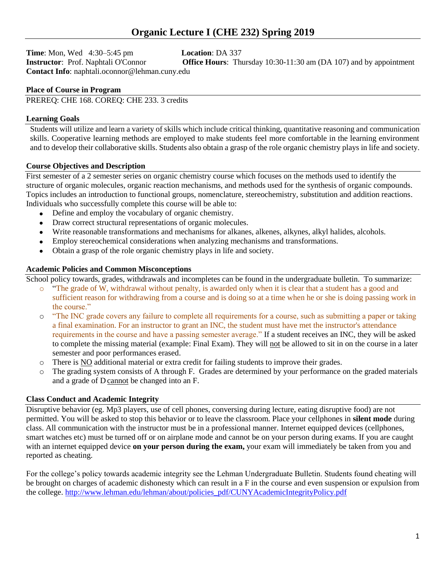**Time**: Mon, Wed 4:30–5:45 pm **Location**: DA 337 **Contact Info**: naphtali.oconnor@lehman.cuny.edu

**Instructor**: Prof. Naphtali O'Connor **Office Hours**: Thursday 10:30-11:30 am (DA 107) and by appointment

## **Place of Course in Program**

PREREQ: CHE 168. COREQ: CHE 233. 3 credits

## **Learning Goals**

Students will utilize and learn a variety of skills which include critical thinking, quantitative reasoning and communication skills. Cooperative learning methods are employed to make students feel more comfortable in the learning environment and to develop their collaborative skills. Students also obtain a grasp of the role organic chemistry plays in life and society.

## **Course Objectives and Description**

First semester of a 2 semester series on organic chemistry course which focuses on the methods used to identify the structure of organic molecules, organic reaction mechanisms, and methods used for the synthesis of organic compounds. Topics includes an introduction to functional groups, nomenclature, stereochemistry, substitution and addition reactions. Individuals who successfully complete this course will be able to:

- Define and employ the vocabulary of organic chemistry.
- Draw correct structural representations of organic molecules.
- Write reasonable transformations and mechanisms for alkanes, alkenes, alkynes, alkyl halides, alcohols.
- Employ stereochemical considerations when analyzing mechanisms and transformations.
- Obtain a grasp of the role organic chemistry plays in life and society.

## **Academic Policies and Common Misconceptions**

School policy towards, grades, withdrawals and incompletes can be found in the undergraduate bulletin. To summarize:

- o "The grade of W, withdrawal without penalty, is awarded only when it is clear that a student has a good and sufficient reason for withdrawing from a course and is doing so at a time when he or she is doing passing work in the course."
- o "The INC grade covers any failure to complete all requirements for a course, such as submitting a paper or taking a final examination. For an instructor to grant an INC, the student must have met the instructor's attendance requirements in the course and have a passing semester average." If a student receives an INC, they will be asked to complete the missing material (example: Final Exam). They will not be allowed to sit in on the course in a later semester and poor performances erased.
- o There is NO additional material or extra credit for failing students to improve their grades.
- o The grading system consists of A through F. Grades are determined by your performance on the graded materials and a grade of D cannot be changed into an F.

## **Class Conduct and Academic Integrity**

Disruptive behavior (eg. Mp3 players, use of cell phones, conversing during lecture, eating disruptive food) are not permitted. You will be asked to stop this behavior or to leave the classroom. Place your cellphones in **silent mode** during class. All communication with the instructor must be in a professional manner. Internet equipped devices (cellphones, smart watches etc) must be turned off or on airplane mode and cannot be on your person during exams. If you are caught with an internet equipped device **on your person during the exam,** your exam will immediately be taken from you and reported as cheating.

For the college's policy towards academic integrity see the Lehman Undergraduate Bulletin. Students found cheating will be brought on charges of academic dishonesty which can result in a F in the course and even suspension or expulsion from the college. [http://www.lehman.edu/lehman/about/policies\\_pdf/CUNYAcademicIntegrityPolicy.pdf](http://www.lehman.edu/lehman/about/policies_pdf/CUNYAcademicIntegrityPolicy.pdf)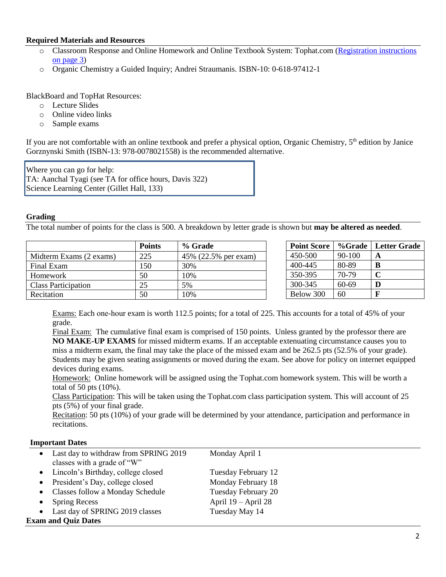## **Required Materials and Resources**

- o Classroom Response and Online Homework and Online Textbook System: Tophat.com [\(Registration instructions](#page-2-0) [on page 3\)](#page-2-0)
- o Organic Chemistry a Guided Inquiry; Andrei Straumanis. ISBN-10: 0-618-97412-1

BlackBoard and TopHat Resources:

- o Lecture Slides
- o Online video links
- o Sample exams

If you are not comfortable with an online textbook and prefer a physical option, Organic Chemistry,  $5<sup>th</sup>$  edition by Janice Gorznynski Smith (ISBN-13: 978-0078021558) is the recommended alternative.

Where you can go for help: TA: Aanchal Tyagi (see TA for office hours, Davis 322) Science Learning Center (Gillet Hall, 133)

#### **Grading**

The total number of points for the class is 500. A breakdown by letter grade is shown but **may be altered as needed**.

|                            | <b>Points</b> | % Grade              |
|----------------------------|---------------|----------------------|
| Midterm Exams (2 exams)    | 225           | 45% (22.5% per exam) |
| Final Exam                 | 150           | 30%                  |
| Homework                   | 50            | 10%                  |
| <b>Class Participation</b> | 25            | 5%                   |
| Recitation                 | 50            | 10%                  |

| <b>Point Score</b> | %Grade | <b>Letter Grade</b> |
|--------------------|--------|---------------------|
| 450-500            | 90-100 | A                   |
| 400-445            | 80-89  | в                   |
| 350-395            | 70-79  | C                   |
| 300-345            | 60-69  | D                   |
| Below 300          | 60     | F                   |

Exams: Each one‐hour exam is worth 112.5 points; for a total of 225. This accounts for a total of 45% of your grade.

Final Exam: The cumulative final exam is comprised of 150 points. Unless granted by the professor there are **NO MAKE-UP EXAMS** for missed midterm exams. If an acceptable extenuating circumstance causes you to miss a midterm exam, the final may take the place of the missed exam and be 262.5 pts (52.5% of your grade). Students may be given seating assignments or moved during the exam. See above for policy on internet equipped devices during exams.

Homework: Online homework will be assigned using the Tophat.com homework system. This will be worth a total of 50 pts (10%).

Class Participation: This will be taken using the Tophat.com class participation system. This will account of 25 pts (5%) of your final grade.

Recitation: 50 pts (10%) of your grade will be determined by your attendance, participation and performance in recitations.

#### **Important Dates**

|                            | • Last day to withdraw from SPRING 2019 | Monday April 1        |  |  |
|----------------------------|-----------------------------------------|-----------------------|--|--|
|                            | classes with a grade of "W"             |                       |  |  |
|                            | • Lincoln's Birthday, college closed    | Tuesday February 12   |  |  |
|                            | • President's Day, college closed       | Monday February 18    |  |  |
|                            | • Classes follow a Monday Schedule      | Tuesday February 20   |  |  |
|                            | <b>Spring Recess</b>                    | April $19 -$ April 28 |  |  |
|                            | Last day of SPRING 2019 classes         | Tuesday May 14        |  |  |
| <b>Exam and Quiz Dates</b> |                                         |                       |  |  |
|                            |                                         |                       |  |  |